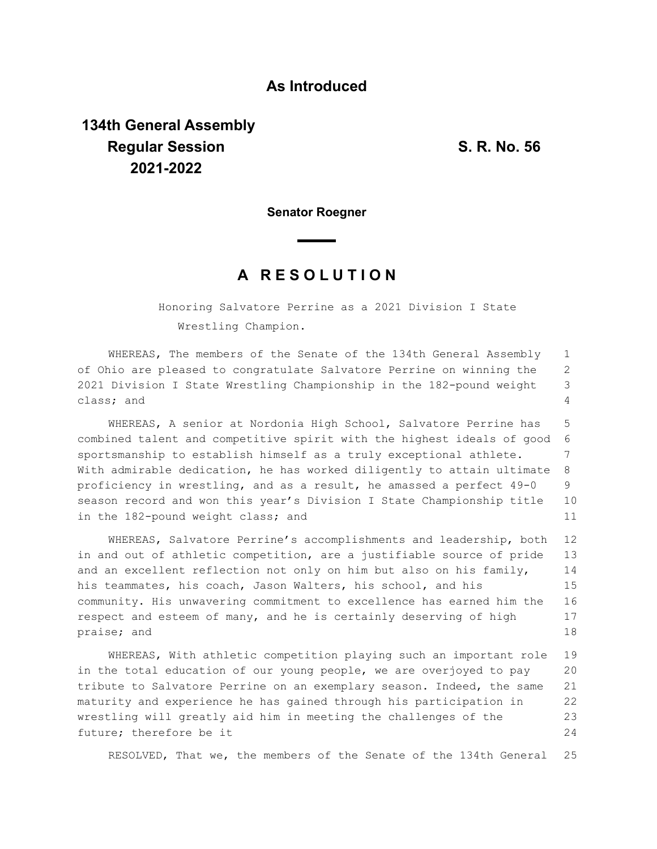## **As Introduced**

## **134th General Assembly Regular Session S. R. No. 56 2021-2022**

**Senator Roegner**

## **A R E S O L U T I O N**

Honoring Salvatore Perrine as a 2021 Division I State Wrestling Champion.

WHEREAS, The members of the Senate of the 134th General Assembly of Ohio are pleased to congratulate Salvatore Perrine on winning the 2021 Division I State Wrestling Championship in the 182-pound weight class; and 1 2 3 4

WHEREAS, A senior at Nordonia High School, Salvatore Perrine has combined talent and competitive spirit with the highest ideals of good sportsmanship to establish himself as a truly exceptional athlete. With admirable dedication, he has worked diligently to attain ultimate proficiency in wrestling, and as a result, he amassed a perfect 49-0 season record and won this year's Division I State Championship title in the 182-pound weight class; and 5 6 7 8 9 10 11

WHEREAS, Salvatore Perrine's accomplishments and leadership, both in and out of athletic competition, are a justifiable source of pride and an excellent reflection not only on him but also on his family, his teammates, his coach, Jason Walters, his school, and his community. His unwavering commitment to excellence has earned him the respect and esteem of many, and he is certainly deserving of high praise; and 12 13 14 15 16 17 18

WHEREAS, With athletic competition playing such an important role in the total education of our young people, we are overjoyed to pay tribute to Salvatore Perrine on an exemplary season. Indeed, the same maturity and experience he has gained through his participation in wrestling will greatly aid him in meeting the challenges of the future; therefore be it 19 20 21 22 23 24

RESOLVED, That we, the members of the Senate of the 134th General 25